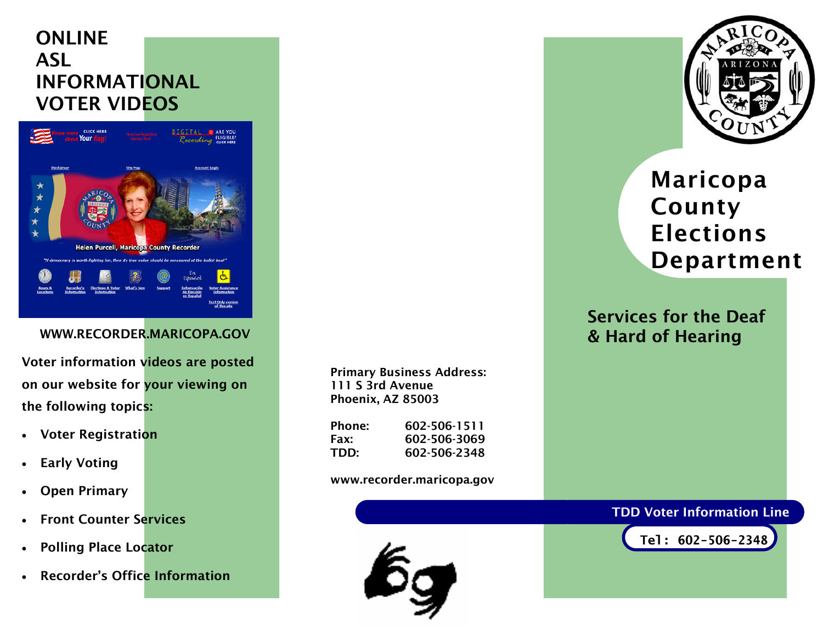## ONLINE **ASL** INFORMATIONAL VOTER VIDEOS



#### WWW.RECORDER.MARICOPA.GOV

Voter information videos are posted on our website for your viewing on the following topics:

- Voter Registration
- Early Voting
- **Open Primary**
- **Front Counter Services**
- Polling Place Locator
- Recorder's Office Information

Primary Business Address: 111 S 3rd Avenue Phoenix, AZ 85003

| Phone: | 602-506-1511 |
|--------|--------------|
| Fax:   | 602-506-3069 |
| TDD:   | 602-506-2348 |

#### www.recorder.maricopa.gov





# Maricopa County Elections Department

### Services for the Deaf & Hard of Hearing

#### TDD Voter Information Line

**Tel: 602-506-2348**